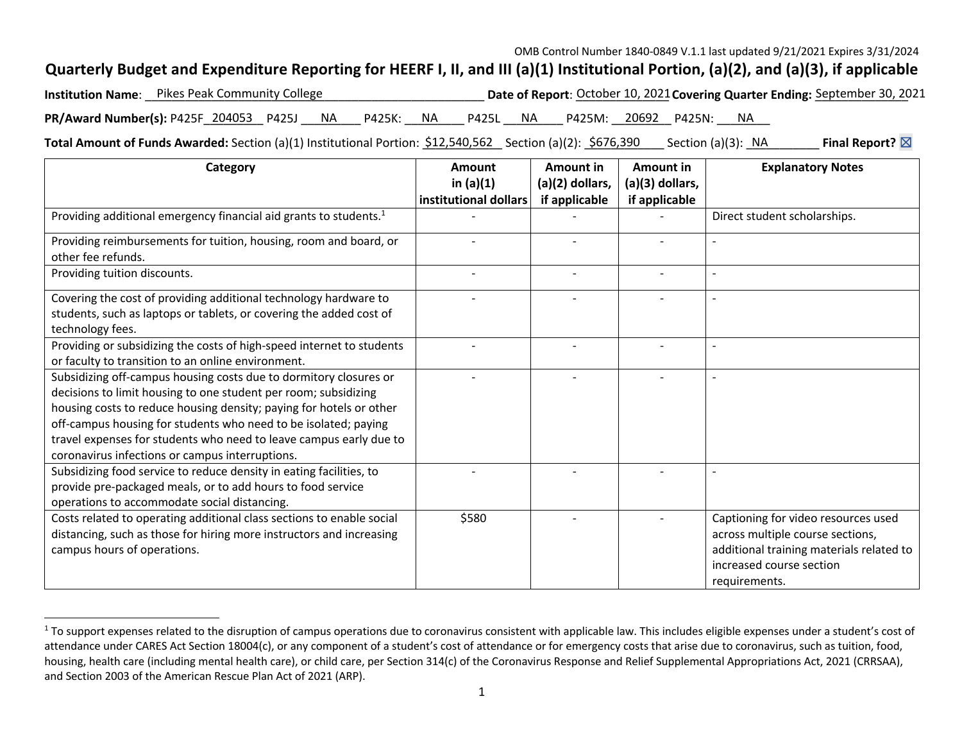## **Quarterly Budget and Expenditure Reporting for HEERF I, II, and III (a)(1) Institutional Portion, (a)(2), and (a)(3), if applicable**

|                                                                  | <b>Institution Name</b> : Pikes Peak Community College |  |  |  |  | Date of Report: October 10, 2021 Covering Quarter Ending: September 30, 2021 |  |                              |  |  |    |  |  |  |
|------------------------------------------------------------------|--------------------------------------------------------|--|--|--|--|------------------------------------------------------------------------------|--|------------------------------|--|--|----|--|--|--|
| PR/Award Number(s): P425F_204053__ P425J____ NA____ P425K: __ NA |                                                        |  |  |  |  |                                                                              |  | P425L NA P425M: 20692 P425N: |  |  | NA |  |  |  |

**Total Amount of Funds Awarded:** Section (a)(1) Institutional Portion: \$12,540,562 \_ Section (a)(2): <u>\$676,390</u> \_ \_ Section (a)(3): \_NA \_\_\_\_\_\_\_\_ **Final Report?** ⊠

| Category                                                                      | <b>Amount</b>         | Amount in         | Amount in       | <b>Explanatory Notes</b>                 |  |  |
|-------------------------------------------------------------------------------|-----------------------|-------------------|-----------------|------------------------------------------|--|--|
|                                                                               | in $(a)(1)$           | $(a)(2)$ dollars, | (a)(3) dollars, |                                          |  |  |
|                                                                               | institutional dollars | if applicable     | if applicable   |                                          |  |  |
| Providing additional emergency financial aid grants to students. <sup>1</sup> |                       |                   |                 | Direct student scholarships.             |  |  |
| Providing reimbursements for tuition, housing, room and board, or             |                       |                   |                 |                                          |  |  |
| other fee refunds.                                                            |                       |                   |                 |                                          |  |  |
| Providing tuition discounts.                                                  |                       |                   |                 |                                          |  |  |
| Covering the cost of providing additional technology hardware to              |                       |                   |                 |                                          |  |  |
| students, such as laptops or tablets, or covering the added cost of           |                       |                   |                 |                                          |  |  |
| technology fees.                                                              |                       |                   |                 |                                          |  |  |
| Providing or subsidizing the costs of high-speed internet to students         |                       |                   |                 |                                          |  |  |
| or faculty to transition to an online environment.                            |                       |                   |                 |                                          |  |  |
| Subsidizing off-campus housing costs due to dormitory closures or             |                       |                   |                 |                                          |  |  |
| decisions to limit housing to one student per room; subsidizing               |                       |                   |                 |                                          |  |  |
| housing costs to reduce housing density; paying for hotels or other           |                       |                   |                 |                                          |  |  |
| off-campus housing for students who need to be isolated; paying               |                       |                   |                 |                                          |  |  |
| travel expenses for students who need to leave campus early due to            |                       |                   |                 |                                          |  |  |
| coronavirus infections or campus interruptions.                               |                       |                   |                 |                                          |  |  |
| Subsidizing food service to reduce density in eating facilities, to           |                       |                   |                 |                                          |  |  |
| provide pre-packaged meals, or to add hours to food service                   |                       |                   |                 |                                          |  |  |
| operations to accommodate social distancing.                                  |                       |                   |                 |                                          |  |  |
| Costs related to operating additional class sections to enable social         | \$580                 |                   |                 | Captioning for video resources used      |  |  |
| distancing, such as those for hiring more instructors and increasing          |                       |                   |                 | across multiple course sections,         |  |  |
| campus hours of operations.                                                   |                       |                   |                 | additional training materials related to |  |  |
|                                                                               |                       |                   |                 | increased course section                 |  |  |
|                                                                               |                       |                   |                 | requirements.                            |  |  |

 $1$  To support expenses related to the disruption of campus operations due to coronavirus consistent with applicable law. This includes eligible expenses under a student's cost of attendance under CARES Act Section 18004(c), or any component of a student's cost of attendance or for emergency costs that arise due to coronavirus, such as tuition, food, housing, health care (including mental health care), or child care, per Section 314(c) of the Coronavirus Response and Relief Supplemental Appropriations Act, 2021 (CRRSAA), and Section 2003 of the American Rescue Plan Act of 2021 (ARP).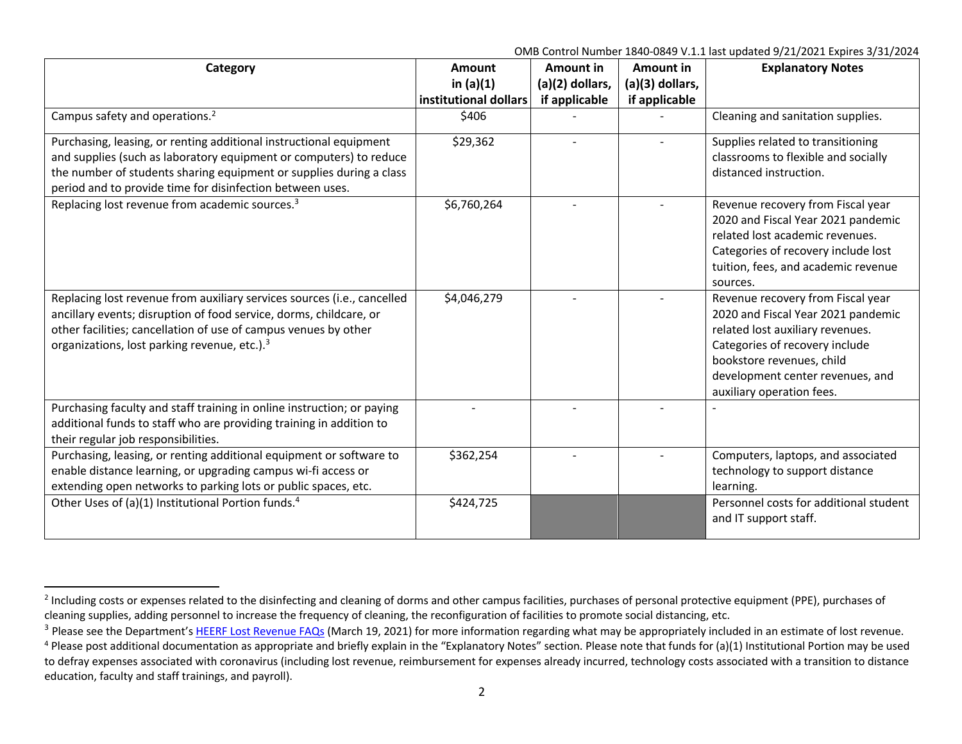| Category                                                                                                                                                                                                                                                                     | <b>Amount</b><br>in $(a)(1)$<br>institutional dollars | Amount in<br>(a)(2) dollars, | Amount in<br>(a)(3) dollars, | <b>Explanatory Notes</b>                                                                                                                                                                                                                    |
|------------------------------------------------------------------------------------------------------------------------------------------------------------------------------------------------------------------------------------------------------------------------------|-------------------------------------------------------|------------------------------|------------------------------|---------------------------------------------------------------------------------------------------------------------------------------------------------------------------------------------------------------------------------------------|
| Campus safety and operations. <sup>2</sup>                                                                                                                                                                                                                                   | \$406                                                 | if applicable                | if applicable                | Cleaning and sanitation supplies.                                                                                                                                                                                                           |
| Purchasing, leasing, or renting additional instructional equipment<br>and supplies (such as laboratory equipment or computers) to reduce<br>the number of students sharing equipment or supplies during a class<br>period and to provide time for disinfection between uses. | \$29,362                                              |                              |                              | Supplies related to transitioning<br>classrooms to flexible and socially<br>distanced instruction.                                                                                                                                          |
| Replacing lost revenue from academic sources. <sup>3</sup>                                                                                                                                                                                                                   | \$6,760,264                                           |                              |                              | Revenue recovery from Fiscal year<br>2020 and Fiscal Year 2021 pandemic<br>related lost academic revenues.<br>Categories of recovery include lost<br>tuition, fees, and academic revenue<br>sources.                                        |
| Replacing lost revenue from auxiliary services sources (i.e., cancelled<br>ancillary events; disruption of food service, dorms, childcare, or<br>other facilities; cancellation of use of campus venues by other<br>organizations, lost parking revenue, etc.). <sup>3</sup> | \$4,046,279                                           |                              |                              | Revenue recovery from Fiscal year<br>2020 and Fiscal Year 2021 pandemic<br>related lost auxiliary revenues.<br>Categories of recovery include<br>bookstore revenues, child<br>development center revenues, and<br>auxiliary operation fees. |
| Purchasing faculty and staff training in online instruction; or paying<br>additional funds to staff who are providing training in addition to<br>their regular job responsibilities.                                                                                         |                                                       |                              |                              |                                                                                                                                                                                                                                             |
| Purchasing, leasing, or renting additional equipment or software to<br>enable distance learning, or upgrading campus wi-fi access or<br>extending open networks to parking lots or public spaces, etc.                                                                       | \$362,254                                             |                              |                              | Computers, laptops, and associated<br>technology to support distance<br>learning.                                                                                                                                                           |
| Other Uses of (a)(1) Institutional Portion funds. <sup>4</sup>                                                                                                                                                                                                               | \$424,725                                             |                              |                              | Personnel costs for additional student<br>and IT support staff.                                                                                                                                                                             |

<sup>&</sup>lt;sup>2</sup> Including costs or expenses related to the disinfecting and cleaning of dorms and other campus facilities, purchases of personal protective equipment (PPE), purchases of cleaning supplies, adding personnel to increase the frequency of cleaning, the reconfiguration of facilities to promote social distancing, etc.

<sup>&</sup>lt;sup>3</sup> Please see the Department's HEERF Lost Revenue FAQs (March 19, 2021) for more information regarding what may be appropriately included in an estimate of lost revenue.

<sup>&</sup>lt;sup>4</sup> Please post additional documentation as appropriate and briefly explain in the "Explanatory Notes" section. Please note that funds for (a)(1) Institutional Portion may be used to defray expenses associated with coronavirus (including lost revenue, reimbursement for expenses already incurred, technology costs associated with a transition to distance education, faculty and staff trainings, and payroll).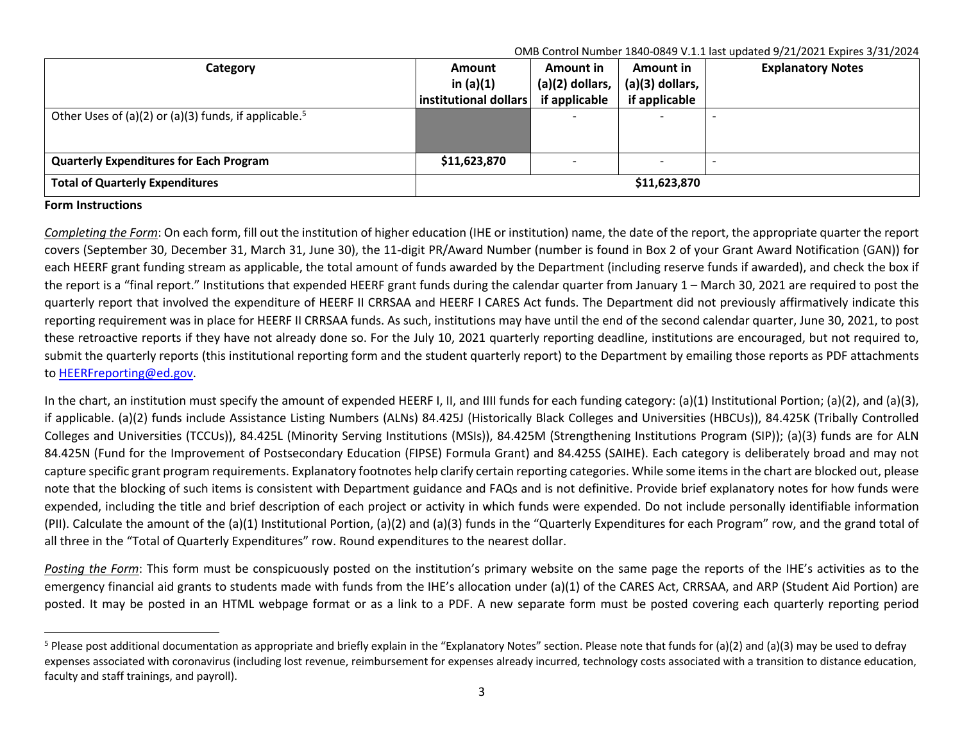| Category                                                          | <b>Amount</b><br>in $(a)(1)$<br>institutional dollars | Amount in<br>$(a)(2)$ dollars,<br>if applicable | Amount in<br>(a)(3) dollars,<br>if applicable | <b>Explanatory Notes</b> |  |  |
|-------------------------------------------------------------------|-------------------------------------------------------|-------------------------------------------------|-----------------------------------------------|--------------------------|--|--|
| Other Uses of (a)(2) or (a)(3) funds, if applicable. <sup>5</sup> |                                                       |                                                 |                                               |                          |  |  |
| <b>Quarterly Expenditures for Each Program</b>                    | \$11,623,870                                          |                                                 |                                               |                          |  |  |
| <b>Total of Quarterly Expenditures</b>                            | \$11,623,870                                          |                                                 |                                               |                          |  |  |

## **Form Instructions**

*Completing the Form*: On each form, fill out the institution of higher education (IHE or institution) name, the date of the report, the appropriate quarter the report covers (September 30, December 31, March 31, June 30), the 11-digit PR/Award Number (number is found in Box 2 of your Grant Award Notification (GAN)) for each HEERF grant funding stream as applicable, the total amount of funds awarded by the Department (including reserve funds if awarded), and check the box if the report is a "final report." Institutions that expended HEERF grant funds during the calendar quarter from January 1 – March 30, 2021 are required to post the quarterly report that involved the expenditure of HEERF II CRRSAA and HEERF I CARES Act funds. The Department did not previously affirmatively indicate this reporting requirement was in place for HEERF II CRRSAA funds. As such, institutions may have until the end of the second calendar quarter, June 30, 2021, to post these retroactive reports if they have not already done so. For the July 10, 2021 quarterly reporting deadline, institutions are encouraged, but not required to, submit the quarterly reports (this institutional reporting form and the student quarterly report) to the Department by emailing those reports as PDF attachments to HEERFreporting@ed.gov.

In the chart, an institution must specify the amount of expended HEERF I, II, and IIII funds for each funding category: (a)(1) Institutional Portion; (a)(2), and (a)(3), if applicable. (a)(2) funds include Assistance Listing Numbers (ALNs) 84.425J (Historically Black Colleges and Universities (HBCUs)), 84.425K (Tribally Controlled Colleges and Universities (TCCUs)), 84.425L (Minority Serving Institutions (MSIs)), 84.425M (Strengthening Institutions Program (SIP)); (a)(3) funds are for ALN 84.425N (Fund for the Improvement of Postsecondary Education (FIPSE) Formula Grant) and 84.425S (SAIHE). Each category is deliberately broad and may not capture specific grant program requirements. Explanatory footnotes help clarify certain reporting categories. While some items in the chart are blocked out, please note that the blocking of such items is consistent with Department guidance and FAQs and is not definitive. Provide brief explanatory notes for how funds were expended, including the title and brief description of each project or activity in which funds were expended. Do not include personally identifiable information (PII). Calculate the amount of the (a)(1) Institutional Portion, (a)(2) and (a)(3) funds in the "Quarterly Expenditures for each Program" row, and the grand total of all three in the "Total of Quarterly Expenditures" row. Round expenditures to the nearest dollar.

Posting the Form: This form must be conspicuously posted on the institution's primary website on the same page the reports of the IHE's activities as to the emergency financial aid grants to students made with funds from the IHE's allocation under (a)(1) of the CARES Act, CRRSAA, and ARP (Student Aid Portion) are posted. It may be posted in an HTML webpage format or as a link to a PDF. A new separate form must be posted covering each quarterly reporting period

<sup>&</sup>lt;sup>5</sup> Please post additional documentation as appropriate and briefly explain in the "Explanatory Notes" section. Please note that funds for (a)(2) and (a)(3) may be used to defray expenses associated with coronavirus (including lost revenue, reimbursement for expenses already incurred, technology costs associated with a transition to distance education, faculty and staff trainings, and payroll).